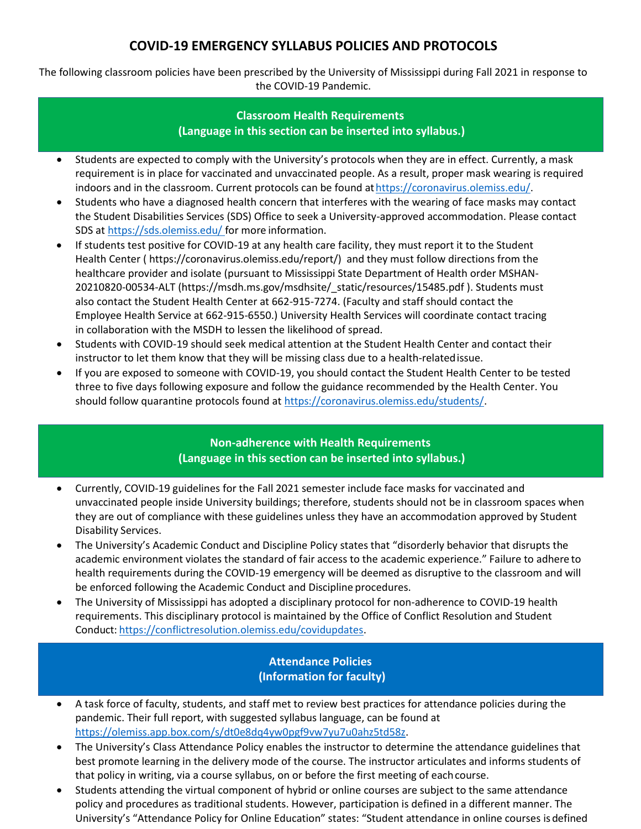# **COVID-19 EMERGENCY SYLLABUS POLICIES AND PROTOCOLS**

The following classroom policies have been prescribed by the University of Mississippi during Fall 2021 in response to the COVID-19 Pandemic.

#### **Classroom Health Requirements (Language in this section can be inserted into syllabus.)**

- Students are expected to comply with the University's protocols when they are in effect. Currently, a mask requirement is in place for vaccinated and unvaccinated people. As a result, proper mask wearing is required indoors and in the classroom. Current protocols can be found at https://coronavirus.olemiss.edu/.
- Students who have a diagnosed health concern that interferes with the wearing of face masks may contact the Student Disabilities Services (SDS) Office to seek a University-approved accommodation. Please contact SDS at [https://sds.olemiss.edu/ f](https://sds.olemiss.edu/)or more information.
- If students test positive for COVID-19 at any health care facility, they must report it to the Student Health Center ( https://coronavirus.olemiss.edu/report/) and they must follow directions from the healthcare provider and isolate (pursuant to Mississippi State Department of Health order MSHAN-20210820-00534-ALT (https://msdh.ms.gov/msdhsite/\_static/resources/15485.pdf ). Students must also contact the Student Health Center at 662-915-7274. (Faculty and staff should contact the Employee Health Service at 662-915-6550.) University Health Services will coordinate contact tracing in collaboration with the MSDH to lessen the likelihood of spread.
- Students with COVID-19 should seek medical attention at the Student Health Center and contact their instructor to let them know that they will be missing class due to a health-relatedissue.
- If you are exposed to someone with COVID-19, you should contact the Student Health Center to be tested three to five days following exposure and follow the guidance recommended by the Health Center. You should follow quarantine protocols found a[t https://coronavirus.olemiss.edu/students/.](https://coronavirus.olemiss.edu/students/)

#### **Non-adherence with Health Requirements (Language in this section can be inserted into syllabus.)**

- Currently, COVID-19 guidelines for the Fall 2021 semester include face masks for vaccinated and unvaccinated people inside University buildings; therefore, students should not be in classroom spaces when they are out of compliance with these guidelines unless they have an accommodation approved by Student Disability Services.
- The University's Academic Conduct and Discipline Policy states that "disorderly behavior that disrupts the academic environment violates the standard of fair access to the academic experience." Failure to adhere to health requirements during the COVID-19 emergency will be deemed as disruptive to the classroom and will be enforced following the Academic Conduct and Discipline procedures.
- The University of Mississippi has adopted a disciplinary protocol for non-adherence to COVID-19 health requirements. This disciplinary protocol is maintained by the Office of Conflict Resolution and Student Conduct: [https://conflictresolution.olemiss.edu/covidupdates.](https://conflictresolution.olemiss.edu/covidupdates)

## **Attendance Policies (Information for faculty)**

- A task force of faculty, students, and staff met to review best practices for attendance policies during the pandemic. Their full report, with suggested syllabus language, can be found at [https://olemiss.app.box.com/s/dt0e8dq4yw0pgf9vw7yu7u0ahz5td58z.](https://olemiss.app.box.com/s/dt0e8dq4yw0pgf9vw7yu7u0ahz5td58z)
- The University's Class Attendance Policy enables the instructor to determine the attendance guidelines that best promote learning in the delivery mode of the course. The instructor articulates and informs students of that policy in writing, via a course syllabus, on or before the first meeting of eachcourse.
- Students attending the virtual component of hybrid or online courses are subject to the same attendance policy and procedures as traditional students. However, participation is defined in a different manner. The University's "Attendance Policy for Online Education" states: "Student attendance in online courses is defined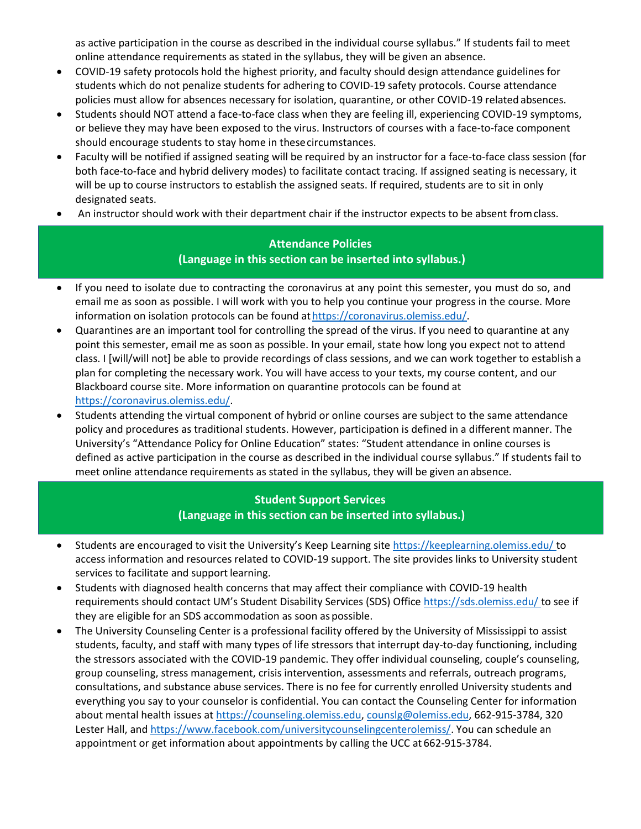as active participation in the course as described in the individual course syllabus." If students fail to meet online attendance requirements as stated in the syllabus, they will be given an absence.

- COVID-19 safety protocols hold the highest priority, and faculty should design attendance guidelines for students which do not penalize students for adhering to COVID-19 safety protocols. Course attendance policies must allow for absences necessary for isolation, quarantine, or other COVID-19 related absences.
- Students should NOT attend a face-to-face class when they are feeling ill, experiencing COVID-19 symptoms, or believe they may have been exposed to the virus. Instructors of courses with a face-to-face component should encourage students to stay home in thesecircumstances.
- Faculty will be notified if assigned seating will be required by an instructor for a face-to-face class session (for both face-to-face and hybrid delivery modes) to facilitate contact tracing. If assigned seating is necessary, it will be up to course instructors to establish the assigned seats. If required, students are to sit in only designated seats.
- An instructor should work with their department chair if the instructor expects to be absent fromclass.

## **Attendance Policies (Language in this section can be inserted into syllabus.)**

- If you need to isolate due to contracting the coronavirus at any point this semester, you must do so, and email me as soon as possible. I will work with you to help you continue your progress in the course. More information on isolation protocols can be found at https://coronavirus.olemiss.edu/.
- Quarantines are an important tool for controlling the spread of the virus. If you need to quarantine at any point this semester, email me as soon as possible. In your email, state how long you expect not to attend class. I [will/will not] be able to provide recordings of class sessions, and we can work together to establish a plan for completing the necessary work. You will have access to your texts, my course content, and our Blackboard course site. More information on quarantine protocols can be found at [https://coronavirus.olemiss.edu/.](https://coronavirus.olemiss.edu/)
- Students attending the virtual component of hybrid or online courses are subject to the same attendance policy and procedures as traditional students. However, participation is defined in a different manner. The University's "Attendance Policy for Online Education" states: "Student attendance in online courses is defined as active participation in the course as described in the individual course syllabus." If students fail to meet online attendance requirements as stated in the syllabus, they will be given anabsence.

## **Student Support Services (Language in this section can be inserted into syllabus.)**

- Students are encouraged to visit the University's Keep Learning site [https://keeplearning.olemiss.edu/ t](https://keeplearning.olemiss.edu/)o access information and resources related to COVID-19 support. The site provides links to University student services to facilitate and support learning.
- Students with diagnosed health concerns that may affect their compliance with COVID-19 health requirements should contact UM's Student Disability Services (SDS) Office [https://sds.olemiss.edu/ t](https://sds.olemiss.edu/)o see if they are eligible for an SDS accommodation as soon as possible.
- The University Counseling Center is a professional facility offered by the University of Mississippi to assist students, faculty, and staff with many types of life stressors that interrupt day-to-day functioning, including the stressors associated with the COVID-19 pandemic. They offer individual counseling, couple's counseling, group counseling, stress management, crisis intervention, assessments and referrals, outreach programs, consultations, and substance abuse services. There is no fee for currently enrolled University students and everything you say to your counselor is confidential. You can contact the Counseling Center for information about mental health issues at [https://counseling.olemiss.edu,](https://counseling.olemiss.edu/) [counslg@olemiss.edu,](mailto:counslg@olemiss.edu) 662-915-3784, 320 Lester Hall, an[d https://www.facebook.com/universitycounselingcenterolemiss/.](https://www.facebook.com/universitycounselingcenterolemiss/) You can schedule an appointment or get information about appointments by calling the UCC at 662-915-3784.